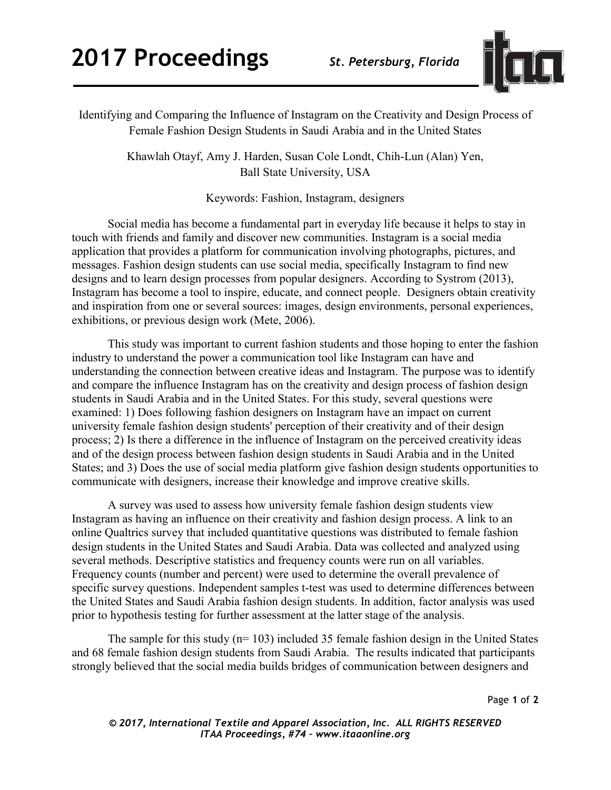

Identifying and Comparing the Influence of Instagram on the Creativity and Design Process of Female Fashion Design Students in Saudi Arabia and in the United States

> Khawlah Otayf, Amy J. Harden, Susan Cole Londt, Chih-Lun (Alan) Yen, Ball State University, USA

> > Keywords: Fashion, Instagram, designers

Social media has become a fundamental part in everyday life because it helps to stay in touch with friends and family and discover new communities. Instagram is a social media application that provides a platform for communication involving photographs, pictures, and messages. Fashion design students can use social media, specifically Instagram to find new designs and to learn design processes from popular designers. According to Systrom (2013), Instagram has become a tool to inspire, educate, and connect people. Designers obtain creativity and inspiration from one or several sources: images, design environments, personal experiences, exhibitions, or previous design work (Mete, 2006).

This study was important to current fashion students and those hoping to enter the fashion industry to understand the power a communication tool like Instagram can have and understanding the connection between creative ideas and Instagram. The purpose was to identify and compare the influence Instagram has on the creativity and design process of fashion design students in Saudi Arabia and in the United States. For this study, several questions were examined: 1) Does following fashion designers on Instagram have an impact on current university female fashion design students' perception of their creativity and of their design process; 2) Is there a difference in the influence of Instagram on the perceived creativity ideas and of the design process between fashion design students in Saudi Arabia and in the United States; and 3) Does the use of social media platform give fashion design students opportunities to communicate with designers, increase their knowledge and improve creative skills.

A survey was used to assess how university female fashion design students view Instagram as having an influence on their creativity and fashion design process. A link to an online Qualtrics survey that included quantitative questions was distributed to female fashion design students in the United States and Saudi Arabia. Data was collected and analyzed using several methods. Descriptive statistics and frequency counts were run on all variables. Frequency counts (number and percent) were used to determine the overall prevalence of specific survey questions. Independent samples t-test was used to determine differences between the United States and Saudi Arabia fashion design students. In addition, factor analysis was used prior to hypothesis testing for further assessment at the latter stage of the analysis.

The sample for this study  $(n= 103)$  included 35 female fashion design in the United States and 68 female fashion design students from Saudi Arabia. The results indicated that participants strongly believed that the social media builds bridges of communication between designers and